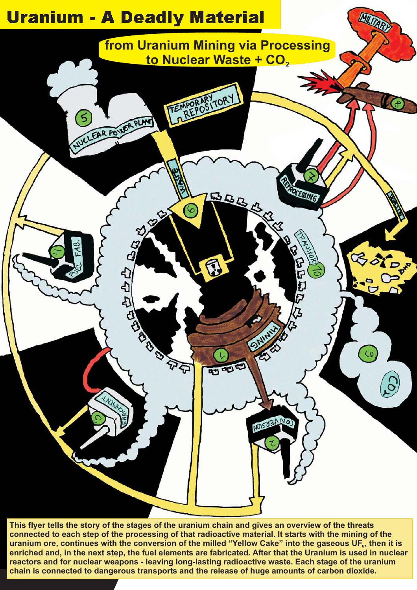

**This flyer tells the story of the stages of the uranium chain and gives an overview of the threats connected to each step of the processing of that radioactive material. It starts with the mining of the uranium ore, continues with the conversion of the milled "Yellow Cake" into the gaseous UF , then it is enriched and, in the next step, the fuel elements are fabricated. After that the Uranium is used in nuclear reactors and for nuclear weapons - leaving long-lasting radioactive waste. Each stage of the uranium chain is connected to dangerous transports and the release of huge amounts of carbon dioxide.**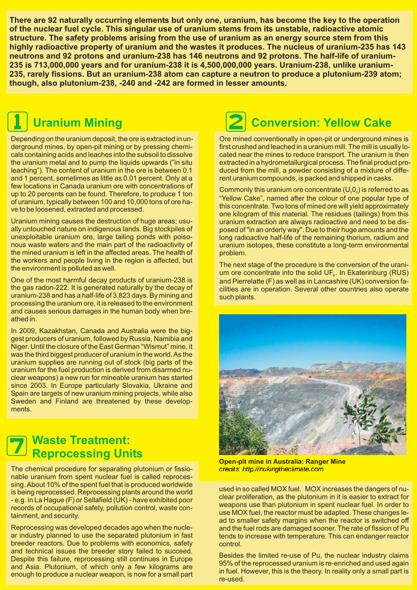**There are 92 naturally occurring elements but only one, uranium, has become the key to the operation of the nuclear fuel cycle. This singular use of uranium stems from its unstable, radioactive atomic structure. The safety problems arising from the use of uranium as an energy source stem from this highly radioactive property of uranium and the wastes it produces. The nucleus of uranium-235 has 143 neutrons and 92 protons and uranium-238 has 146 neutrons and 92 protons. The half-life of uranium-235 is 713,000,000 years and for uranium-238 it is 4,500,000,000 years. Uranium-238, unlike uranium-235, rarely fissions. But an uranium-238 atom can capture a neutron to produce a plutonium-239 atom; though, also plutonium-238, -240 and -242 are formed in lesser amounts.**



# **Uranium Mining**

Depending on the uranium deposit, the ore is extracted in underground mines, by open-pit mining or by pressing chemicals containing acids and leaches into the subsoil to dissolve the uranium metal and to pump the liquids upwards ("in situ leaching"). The content of uranium in the ore is between 0.1 and 1 percent, sometimes as little as 0.01 percent. Only at a few locations in Canada uranium ore with concentrations of up to 20 percents can be found. Therefore, to produce 1 ton of uranium, typically between 100 and 10,000 tons of ore have to be loosened, extracted and processed.

Uranium mining causes the destruction of huge areas; usually untouched nature on indigenous lands. Big stockpiles of unexploitable uranium ore, large tailing ponds with poisonous waste waters and the main part of the radioactivity of the mined uranium is left in the affected areas. The health of the workers and people living in the region is affected, but the environment is polluted as well.

One of the most harmful decay products of uranium-238 is the gas radon-222. It is generated naturally by the decay of uranium-238 and has a half-life of 3.823 days. By mining and processing the uranium ore, it is released to the environment and causes serious damages in the human body when breathed in.

In 2009, Kazakhstan, Canada and Australia were the biggest producers of uranium, followed by Russia, Namibia and Niger. Until the closure of the East German "Wismut" mine, it was the third biggest producer of uranium in the world.As the uranium supplies are running out of stock (big parts of the uranium for the fuel production is derived from disarmed nuclear weapons) a new run for mineable uranium has started since 2003. In Europe particularly Slovakia, Ukraine and Spain are targets of new uranium mining projects, while also Sweden and Finland are threatened by these developments.

#### **Waste Treatment: Reprocessing Units**  $\boldsymbol{Z}$

The chemical procedure for separating plutonium or fissionable uranium from spent nuclear fuel is called reprocessing. About 10% of the spent fuel that is produced worldwide is being reprocessed. Reprocessing plants around the world - e.g. in La Hague (F) or Sellafield (UK) - have exhibited poor records of occupational safety, pollution control, waste containment, and security.

Reprocessing was developed decades ago when the nuclear industry planned to use the separated plutonium in fast breeder reactors. Due to problems with economics, safety and technical issues the breeder story failed to succeed. Despite this failure, reprocessing still continues in Europe and Asia. Plutonium, of which only a few kilograms are enough to produce a nuclear weapon, is now for a small part

# 2 **Conversion: Yellow Cake**

Ore mined conventionally in open-pit or underground mines is first crushed and leached in a uranium mill. The mill is usually located near the mines to reduce transport. The uranium is then extracted in a hydrometallurgical process. The final product produced from the mill, a powder consisting of a mixture of different uranium compounds, is packed and shipped in casks.

Commonly this uranium ore concentrate  $(U_{\tiny 3}0_{\tiny 8})$  is referred to as "Yellow Cake", named after the colour of one popular type of this concentrate. Two tons of mined ore will yield approximately one kilogram of this material. The residues (tailings) from this uranium extraction are always radioactive and need to be disposed of "in an orderly way". Due to their huge amounts and the long radioactive half-life of the remaining thorium, radium and uranium isotopes, these constitute a long-term environmental problem.

The next stage of the procedure is the conversion of the uranium ore concentrate into the solid  $UF<sub>e</sub>$ . In Ekaterinburg (RUS) and Pierrelatte (F) as well as in Lancashire (UK) conversion facilities are in operation. Several other countries also operate such plants.



**Open-pit mine in Australia: Ranger Mine** credits: http://nukingtheclimate.com

used in so called MOX fuel. MOX increases the dangers of nuclear proliferation, as the plutonium in it is easier to extract for weapons use than plutonium in spent nuclear fuel. In order to use MOX fuel, the reactor must be adapted. These changes lead to smaller safety margins when the reactor is switched off and the fuel rods are damaged sooner. The rate of fission of Pu tends to increase with temperature. This can endanger reactor control.

Besides the limited re-use of Pu, the nuclear industry claims 95% of the reprocessed uranium is re-enriched and used again in fuel. However, this is the theory. In reality only a small part is re-used.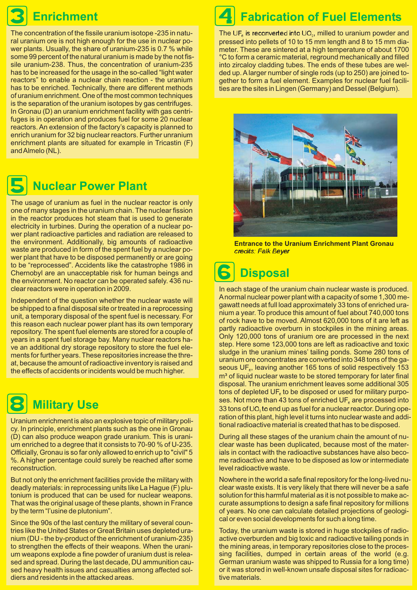# **Enrichment**

The concentration of the fissile uranium isotope -235 in natural uranium ore is not high enough for the use in nuclear power plants. Usually, the share of uranium-235 is 0.7 % while some 99 percent of the natural uranium is made by the not fissile uranium-238. Thus, the concentration of uranium-235 has to be increased for the usage in the so-called "light water reactors" to enable a nuclear chain reaction - the uranium has to be enriched. Technically, there are different methods of uranium enrichment. One of the most common techniques is the separation of the uranium isotopes by gas centrifuges. In Gronau (D) an uranium enrichment facility with gas centrifuges is in operation and produces fuel for some 20 nuclear reactors. An extension of the factory's capacity is planned to enrich uranium for 32 big nuclear reactors. Further unranium enrichment plants are situated for example in Tricastin (F) andAlmelo (NL).



## **Nuclear Power Plant**

The usage of uranium as fuel in the nuclear reactor is only one of many stages in the uranium chain. The nuclear fission in the reactor produces hot steam that is used to generate electricity in turbines. During the operation of a nuclear power plant radioactive particles and radiation are released to the environment. Additionally, big amounts of radioactive waste are produced in form of the spent fuel by a nuclear power plant that have to be disposed permanently or are going to be "reprocessed". Accidents like the catastrophe 1986 in Chernobyl are an unacceptable risk for human beings and the environment. No reactor can be operated safely. 436 nuclear reactors were in operation in 2009.

Independent of the question whether the nuclear waste will be shipped to a final disposal site or treated in a reprocessing unit, a temporary disposal of the spent fuel is necessary. For this reason each nuclear power plant has its own temporary repository. The spent fuel elements are stored for a couple of years in a spent fuel storage bay. Many nuclear reactors have an additional dry storage repository to store the fuel elements for further years. These repositories increase the threat, because the amount of radioactive inventory is raised and the effects of accidents or incidents would be much higher.



# **Military Use**

Uranium enrichment is also an explosive topic of military policy. In principle, enrichment plants such as the one in Gronau (D) can also produce weapon grade uranium. This is uranium enriched to a degree that it consists to 70-90 % of U-235. Officially, Gronau is so far only allowed to enrich up to "civil" 5 %. A higher percentage could surely be reached after some reconstruction.

But not only the enrichment facilities provide the military with deadly materials: in reprocessing units like La Hague (F) plutonium is produced that can be used for nuclear weapons. That was the original usage of these plants, shown in France by the term "l'usine de plutonium".

Since the 90s of the last century the military of several countries like the United States or Great Britain uses depleted uranium (DU - the by-product of the enrichment of uranium-235) to strengthen the effects of their weapons. When the uranium weapons explode a fine powder of uranium dust is released and spread. During the last decade, DU ammunition caused heavy health issues and casualties among affected soldiers and residents in the attacked areas.

### **Fabrication of Fuel Elements** 4

The UF $_{\scriptscriptstyle{6}}$  is reconverted into UO $_{\scriptscriptstyle{2}}$ , milled to uranium powder and pressed into pellets of 10 to 15 mm length and 8 to 15 mm diameter. These are sintered at a high temperature of about 1700 °C to form a ceramic material, reground mechanically and filled into zircaloy cladding tubes. The ends of these tubes are welded up. A larger number of single rods (up to 250) are joined together to form a fuel element. Examples for nuclear fuel facilities are the sites in Lingen (Germany) and Dessel (Belgium).



**Entrance to the Uranium Enrichment Plant Gronau** credits: Falk Beyer

### **Disposal** 6

In each stage of the uranium chain nuclear waste is produced. Anormal nuclear power plant with a capacity of some 1,300 megawatt needs at full load approximately 33 tons of enriched uranium a year. To produce this amount of fuel about 740,000 tons of rock have to be moved. Almost 620,000 tons of it are left as partly radioactive overburn in stockpiles in the mining areas. Only 120,000 tons of uranium ore are processed in the next step. Here some 123,000 tons are left as radioactive and toxic sludge in the uranium mines' tailing ponds. Some 280 tons of uranium ore concentrates are converted into 348 tons of the gaseous UF<sub>6</sub>, leaving another 165 tons of solid respectively 153 m<sup>3</sup> of liquid nuclear waste to be stored temporary for later final disposal. The uranium enrichment leaves some additional 305 tons of depleted UF $_{\circ}$  to be disposed or used for military purposes. Not more than 43 tons of enriched UF $_{\circ}$  are processed into 33 tons of UO $_{{\scriptscriptstyle 2}}$  to end up as fuel for a nuclear reactor. During operation of this plant, high level it turns into nuclear waste and additional radioactive material is created that has to be disposed.

During all these stages of the uranium chain the amount of nuclear waste has been duplicated, because most of the materials in contact with the radioactive substances have also become radioactive and have to be disposed as low or intermediate level radioactive waste.

Nowhere in the world a safe final repository for the long-lived nuclear waste exists. It is very likely that there will never be a safe solution for this harmful material as it is not possible to make accurate assumptions to design a safe final repository for millions of years. No one can calculate detailed projections of geological or even social developments for such a long time.

Today, the uranium waste is stored in huge stockpiles of radioactive overburden and big toxic and radioactive tailing ponds in the mining areas, in temporary repositories close to the processing facilities, dumped in certain areas of the world (e.g. German uranium waste was shipped to Russia for a long time) or it was stored in well-known unsafe disposal sites for radioactive materials.